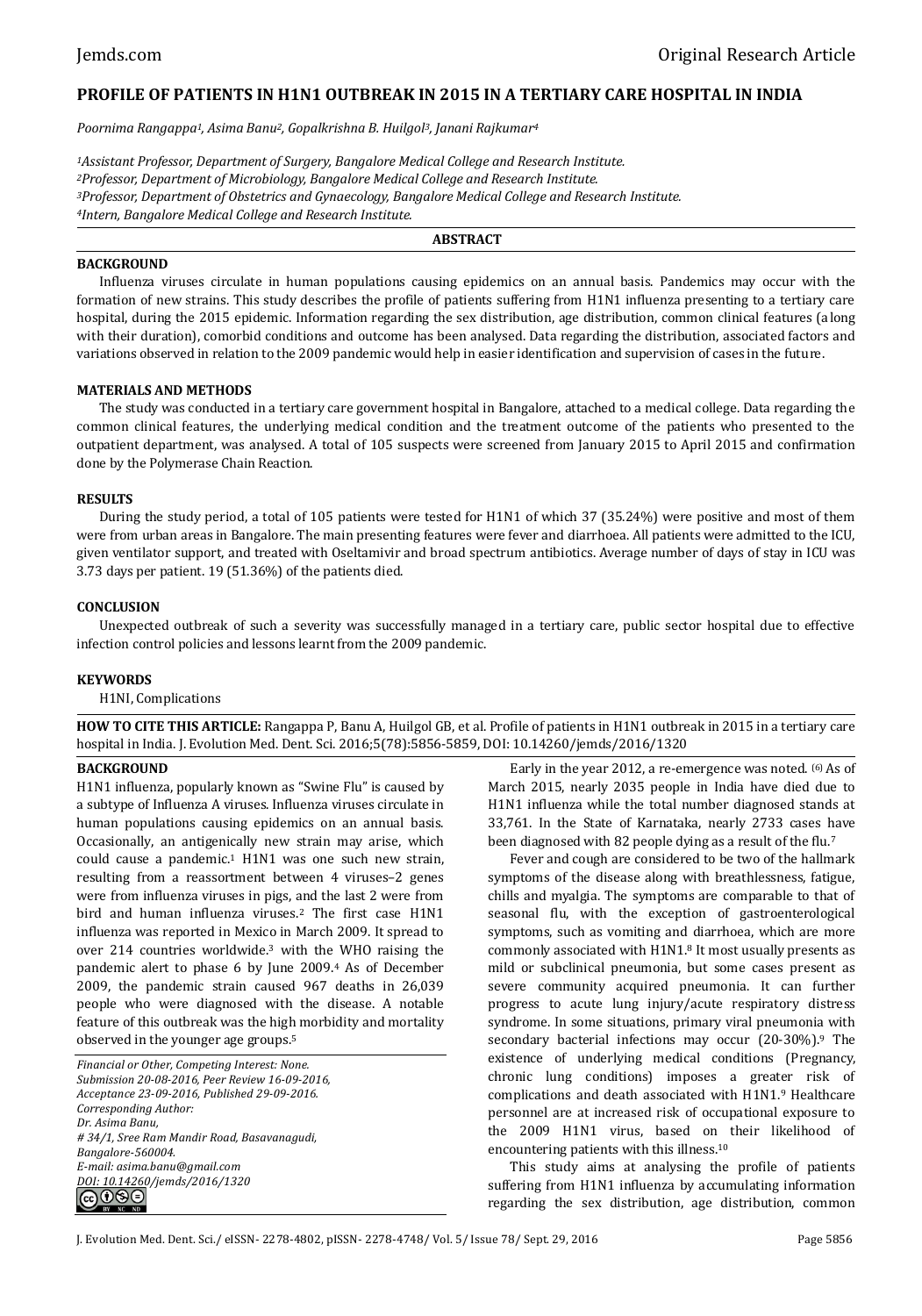# **PROFILE OF PATIENTS IN H1N1 OUTBREAK IN 2015 IN A TERTIARY CARE HOSPITAL IN INDIA**

*Poornima Rangappa1, Asima Banu2, Gopalkrishna B. Huilgol3, Janani Rajkumar<sup>4</sup>*

*Assistant Professor, Department of Surgery, Bangalore Medical College and Research Institute. Professor, Department of Microbiology, Bangalore Medical College and Research Institute. Professor, Department of Obstetrics and Gynaecology, Bangalore Medical College and Research Institute. Intern, Bangalore Medical College and Research Institute.*

### **ABSTRACT**

### **BACKGROUND**

Influenza viruses circulate in human populations causing epidemics on an annual basis. Pandemics may occur with the formation of new strains. This study describes the profile of patients suffering from H1N1 influenza presenting to a tertiary care hospital, during the 2015 epidemic. Information regarding the sex distribution, age distribution, common clinical features (along with their duration), comorbid conditions and outcome has been analysed. Data regarding the distribution, associated factors and variations observed in relation to the 2009 pandemic would help in easier identification and supervision of cases in the future.

### **MATERIALS AND METHODS**

The study was conducted in a tertiary care government hospital in Bangalore, attached to a medical college. Data regarding the common clinical features, the underlying medical condition and the treatment outcome of the patients who presented to the outpatient department, was analysed. A total of 105 suspects were screened from January 2015 to April 2015 and confirmation done by the Polymerase Chain Reaction.

#### **RESULTS**

During the study period, a total of 105 patients were tested for H1N1 of which 37 (35.24%) were positive and most of them were from urban areas in Bangalore. The main presenting features were fever and diarrhoea. All patients were admitted to the ICU, given ventilator support, and treated with Oseltamivir and broad spectrum antibiotics. Average number of days of stay in ICU was 3.73 days per patient. 19 (51.36%) of the patients died.

#### **CONCLUSION**

Unexpected outbreak of such a severity was successfully managed in a tertiary care, public sector hospital due to effective infection control policies and lessons learnt from the 2009 pandemic.

#### **KEYWORDS**

H1NI, Complications

**HOW TO CITE THIS ARTICLE:** Rangappa P, Banu A, Huilgol GB, et al. Profile of patients in H1N1 outbreak in 2015 in a tertiary care hospital in India. J. Evolution Med. Dent. Sci. 2016;5(78):5856-5859, DOI: 10.14260/jemds/2016/1320

## **BACKGROUND**

H1N1 influenza, popularly known as "Swine Flu" is caused by a subtype of Influenza A viruses. Influenza viruses circulate in human populations causing epidemics on an annual basis. Occasionally, an antigenically new strain may arise, which could cause a pandemic.<sup>1</sup> H1N1 was one such new strain, resulting from a reassortment between 4 viruses–2 genes were from influenza viruses in pigs, and the last 2 were from bird and human influenza viruses.<sup>2</sup> The first case H1N1 influenza was reported in Mexico in March 2009. It spread to over 214 countries worldwide.<sup>3</sup> with the WHO raising the pandemic alert to phase 6 by June 2009.<sup>4</sup> As of December 2009, the pandemic strain caused 967 deaths in 26,039 people who were diagnosed with the disease. A notable feature of this outbreak was the high morbidity and mortality observed in the younger age groups.<sup>5</sup>

*Financial or Other, Competing Interest: None. Submission 20-08-2016, Peer Review 16-09-2016, Acceptance 23-09-2016, Published 29-09-2016. Corresponding Author: Dr. Asima Banu, # 34/1, Sree Ram Mandir Road, Basavanagudi, Bangalore-560004. E-mail: [asima.banu@gmail.com](mailto:asima.banu@gmail.com) DOI: 10.14260/jemds/2016/1320* ெ⊕ெ

Early in the year 2012, a re-emergence was noted. (6) As of March 2015, nearly 2035 people in India have died due to H1N1 influenza while the total number diagnosed stands at 33,761. In the State of Karnataka, nearly 2733 cases have been diagnosed with 82 people dying as a result of the flu.<sup>7</sup>

Fever and cough are considered to be two of the hallmark symptoms of the disease along with breathlessness, fatigue, chills and myalgia. The symptoms are comparable to that of seasonal flu, with the exception of gastroenterological symptoms, such as vomiting and diarrhoea, which are more commonly associated with H1N1.<sup>8</sup> It most usually presents as mild or subclinical pneumonia, but some cases present as severe community acquired pneumonia. It can further progress to acute lung injury/acute respiratory distress syndrome. In some situations, primary viral pneumonia with secondary bacterial infections may occur (20-30%).<sup>9</sup> The existence of underlying medical conditions (Pregnancy, chronic lung conditions) imposes a greater risk of complications and death associated with H1N1.<sup>9</sup> Healthcare personnel are at increased risk of occupational exposure to the 2009 H1N1 virus, based on their likelihood of encountering patients with this illness.<sup>10</sup>

This study aims at analysing the profile of patients suffering from H1N1 influenza by accumulating information regarding the sex distribution, age distribution, common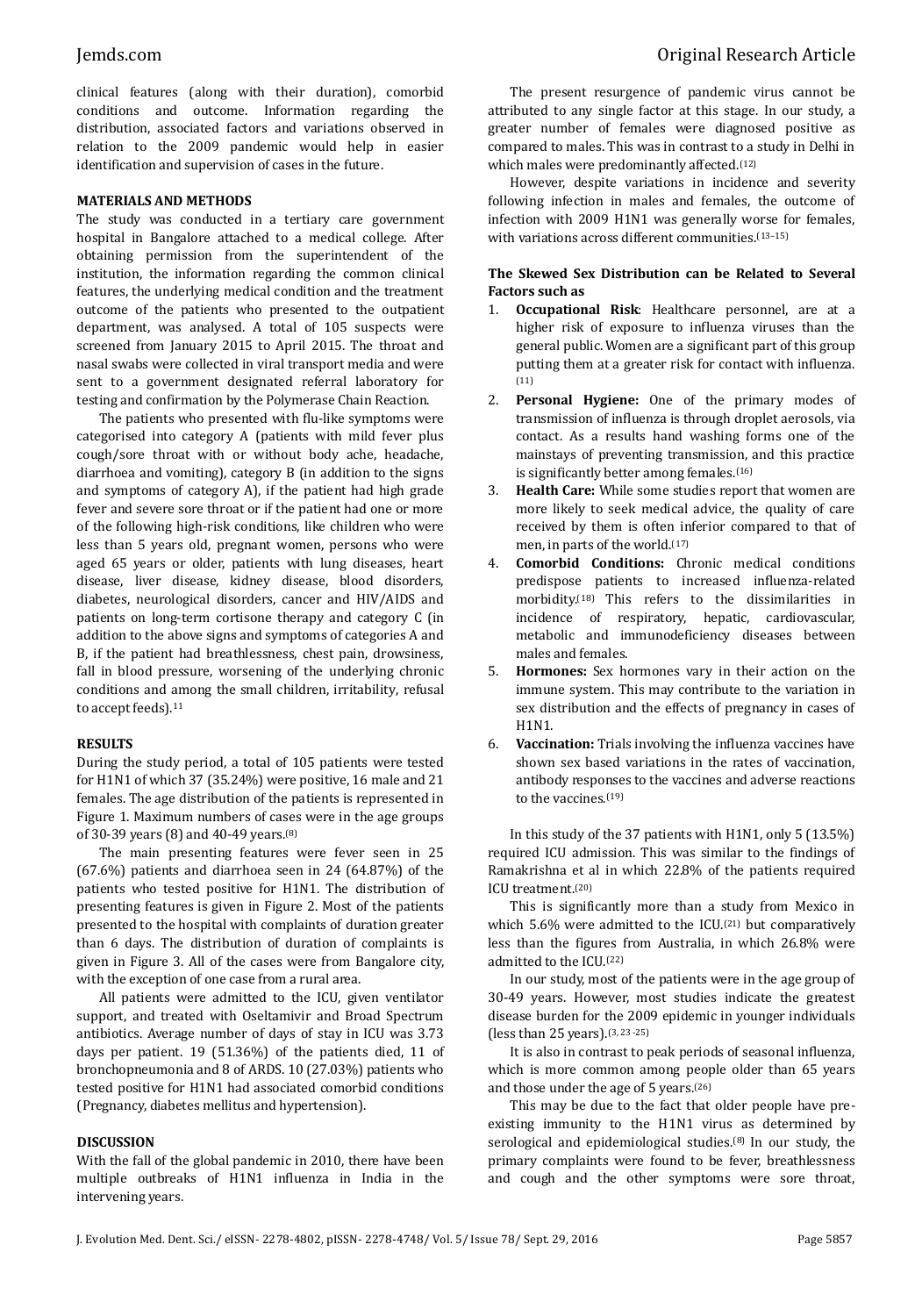clinical features (along with their duration), comorbid conditions and outcome. Information regarding the distribution, associated factors and variations observed in relation to the 2009 pandemic would help in easier identification and supervision of cases in the future.

### **MATERIALS AND METHODS**

The study was conducted in a tertiary care government hospital in Bangalore attached to a medical college. After obtaining permission from the superintendent of the institution, the information regarding the common clinical features, the underlying medical condition and the treatment outcome of the patients who presented to the outpatient department, was analysed. A total of 105 suspects were screened from January 2015 to April 2015. The throat and nasal swabs were collected in viral transport media and were sent to a government designated referral laboratory for testing and confirmation by the Polymerase Chain Reaction.

The patients who presented with flu-like symptoms were categorised into category A (patients with mild fever plus cough/sore throat with or without body ache, headache, diarrhoea and vomiting), category B (in addition to the signs and symptoms of category A), if the patient had high grade fever and severe sore throat or if the patient had one or more of the following high-risk conditions, like children who were less than 5 years old, pregnant women, persons who were aged 65 years or older, patients with lung diseases, heart disease, liver disease, kidney disease, blood disorders, diabetes, neurological disorders, cancer and HIV/AIDS and patients on long-term cortisone therapy and category C (in addition to the above signs and symptoms of categories A and B, if the patient had breathlessness, chest pain, drowsiness, fall in blood pressure, worsening of the underlying chronic conditions and among the small children, irritability, refusal to accept feeds).<sup>11</sup>

### **RESULTS**

During the study period, a total of 105 patients were tested for H1N1 of which 37 (35.24%) were positive, 16 male and 21 females. The age distribution of the patients is represented in Figure 1. Maximum numbers of cases were in the age groups of 30-39 years (8) and 40-49 years.(8)

The main presenting features were fever seen in 25 (67.6%) patients and diarrhoea seen in 24 (64.87%) of the patients who tested positive for H1N1. The distribution of presenting features is given in Figure 2. Most of the patients presented to the hospital with complaints of duration greater than 6 days. The distribution of duration of complaints is given in Figure 3. All of the cases were from Bangalore city, with the exception of one case from a rural area.

All patients were admitted to the ICU, given ventilator support, and treated with Oseltamivir and Broad Spectrum antibiotics. Average number of days of stay in ICU was 3.73 days per patient. 19 (51.36%) of the patients died, 11 of bronchopneumonia and 8 of ARDS. 10 (27.03%) patients who tested positive for H1N1 had associated comorbid conditions (Pregnancy, diabetes mellitus and hypertension).

### **DISCUSSION**

With the fall of the global pandemic in 2010, there have been multiple outbreaks of H1N1 influenza in India in the intervening years.

The present resurgence of pandemic virus cannot be attributed to any single factor at this stage. In our study, a greater number of females were diagnosed positive as compared to males. This was in contrast to a study in Delhi in which males were predominantly affected.<sup>(12)</sup>

However, despite variations in incidence and severity following infection in males and females, the outcome of infection with 2009 H1N1 was generally worse for females, with variations across different communities.<sup>(13-15)</sup>

# **The Skewed Sex Distribution can be Related to Several Factors such as**

- 1. **Occupational Risk**: Healthcare personnel, are at a higher risk of exposure to influenza viruses than the general public. Women are a significant part of this group putting them at a greater risk for contact with influenza. (11)
- 2. **Personal Hygiene:** One of the primary modes of transmission of influenza is through droplet aerosols, via contact. As a results hand washing forms one of the mainstays of preventing transmission, and this practice is significantly better among females.(16)
- 3. **Health Care:** While some studies report that women are more likely to seek medical advice, the quality of care received by them is often inferior compared to that of men, in parts of the world.(17)
- 4. **Comorbid Conditions:** Chronic medical conditions predispose patients to increased influenza-related morbidity.(18) This refers to the dissimilarities in incidence of respiratory, hepatic, cardiovascular, metabolic and immunodeficiency diseases between males and females.
- 5. **Hormones:** Sex hormones vary in their action on the immune system. This may contribute to the variation in sex distribution and the effects of pregnancy in cases of H1N1.
- 6. **Vaccination:** Trials involving the influenza vaccines have shown sex based variations in the rates of vaccination, antibody responses to the vaccines and adverse reactions to the vaccines.<sup>(19)</sup>

In this study of the 37 patients with H1N1, only 5 (13.5%) required ICU admission. This was similar to the findings of Ramakrishna et al in which 22.8% of the patients required ICU treatment.(20)

This is significantly more than a study from Mexico in which 5.6% were admitted to the ICU.<sup>(21)</sup> but comparatively less than the figures from Australia, in which 26.8% were admitted to the ICU.(22)

In our study, most of the patients were in the age group of 30-49 years. However, most studies indicate the greatest disease burden for the 2009 epidemic in younger individuals (less than 25 years).(3, <sup>23</sup>-25)

It is also in contrast to peak periods of seasonal influenza, which is more common among people older than 65 years and those under the age of 5 years.(26)

This may be due to the fact that older people have preexisting immunity to the H1N1 virus as determined by serological and epidemiological studies.(8) In our study, the primary complaints were found to be fever, breathlessness and cough and the other symptoms were sore throat,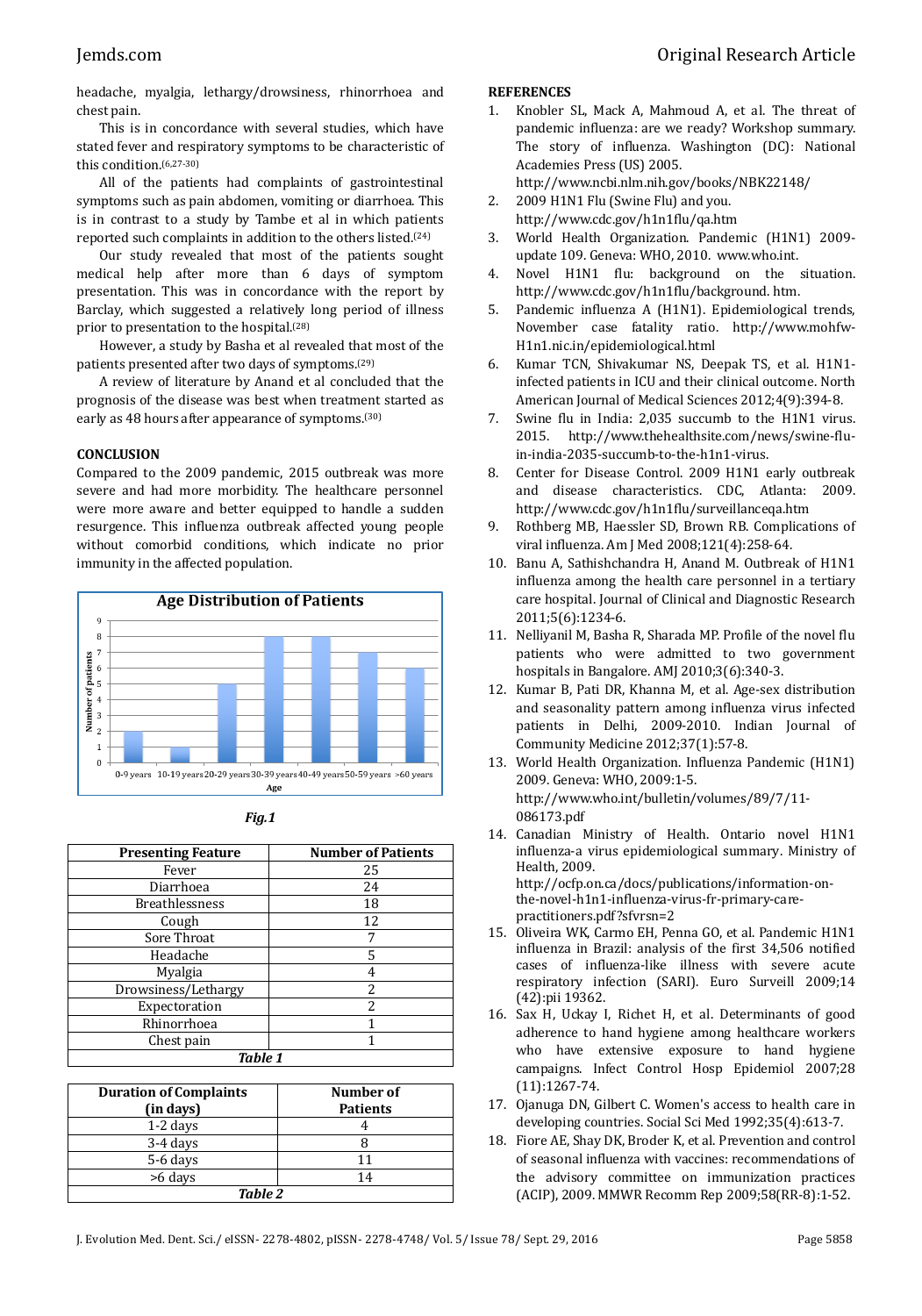headache, myalgia, lethargy/drowsiness, rhinorrhoea and chest pain.

This is in concordance with several studies, which have stated fever and respiratory symptoms to be characteristic of this condition.(6,27-30)

All of the patients had complaints of gastrointestinal symptoms such as pain abdomen, vomiting or diarrhoea. This is in contrast to a study by Tambe et al in which patients reported such complaints in addition to the others listed.(24)

Our study revealed that most of the patients sought medical help after more than 6 days of symptom presentation. This was in concordance with the report by Barclay, which suggested a relatively long period of illness prior to presentation to the hospital.(28)

However, a study by Basha et al revealed that most of the patients presented after two days of symptoms.(29)

A review of literature by Anand et al concluded that the prognosis of the disease was best when treatment started as early as 48 hours after appearance of symptoms.(30)

# **CONCLUSION**

Compared to the 2009 pandemic, 2015 outbreak was more severe and had more morbidity. The healthcare personnel were more aware and better equipped to handle a sudden resurgence. This influenza outbreak affected young people without comorbid conditions, which indicate no prior immunity in the affected population.



|--|--|

| <b>Presenting Feature</b> | <b>Number of Patients</b> |  |
|---------------------------|---------------------------|--|
| Fever                     | 25                        |  |
| Diarrhoea                 | 24                        |  |
| <b>Breathlessness</b>     | 18                        |  |
| Cough                     | 12                        |  |
| Sore Throat               | 7                         |  |
| Headache                  | 5                         |  |
| Myalgia                   | 4                         |  |
| Drowsiness/Lethargy       | 2                         |  |
| Expectoration             | $\overline{\mathcal{L}}$  |  |
| Rhinorrhoea               |                           |  |
| Chest pain                |                           |  |
| <b>Table 1</b>            |                           |  |

| <b>Duration of Complaints</b><br>(in days) | Number of<br><b>Patients</b> |  |
|--------------------------------------------|------------------------------|--|
| $1-2$ days                                 |                              |  |
| 3-4 days                                   |                              |  |
| 5-6 days                                   |                              |  |
| >6 days                                    | 14                           |  |
| Table 2                                    |                              |  |

# **REFERENCES**

1. Knobler SL, Mack A, Mahmoud A, et al. The threat of pandemic influenza: are we ready? Workshop summary. The story of influenza. Washington (DC): National Academies Press (US) 2005.

<http://www.ncbi.nlm.nih.gov/books/NBK22148/>

- 2. 2009 H1N1 Flu (Swine Flu) and you. http://www.cdc.gov/h1n1flu/qa.htm
- 3. World Health Organization. Pandemic (H1N1) 2009 update 109. Geneva: WHO, 2010. www.who.int.
- 4. Novel H1N1 flu: background on the situation. http://www.cdc.gov/h1n1flu/background. htm.
- 5. Pandemic influenza A (H1N1). Epidemiological trends, November case fatality ratio. http://www.mohfw-H1n1.nic.in/epidemiological.html
- 6. Kumar TCN, Shivakumar NS, Deepak TS, et al. H1N1 infected patients in ICU and their clinical outcome. North American Journal of Medical Sciences 2012;4(9):394-8.
- 7. Swine flu in India: 2,035 succumb to the H1N1 virus. 2015. http://www.thehealthsite.com/news/swine-fluin-india-2035-succumb-to-the-h1n1-virus.
- 8. Center for Disease Control. 2009 H1N1 early outbreak and disease characteristics. CDC, Atlanta: 2009. http://www.cdc.gov/h1n1flu/surveillanceqa.htm
- 9. Rothberg MB, Haessler SD, Brown RB. Complications of viral influenza. Am J Med 2008;121(4):258-64.
- 10. Banu A, Sathishchandra H, Anand M. Outbreak of H1N1 influenza among the health care personnel in a tertiary care hospital. Journal of Clinical and Diagnostic Research 2011;5(6):1234-6.
- 11. Nelliyanil M, Basha R, Sharada MP. Profile of the novel flu patients who were admitted to two government hospitals in Bangalore. AMJ 2010;3(6):340-3.
- 12. Kumar B, Pati DR, Khanna M, et al. Age-sex distribution and seasonality pattern among influenza virus infected patients in Delhi, 2009-2010. Indian Journal of Community Medicine 2012;37(1):57-8.
- 13. World Health Organization. Influenza Pandemic (H1N1) 2009. Geneva: WHO, 2009:1-5. http://www.who.int/bulletin/volumes/89/7/11- 086173.pdf
- 14. Canadian Ministry of Health. Ontario novel H1N1 influenza-a virus epidemiological summary. Ministry of Health, 2009. http://ocfp.on.ca/docs/publications/information-onthe-novel-h1n1-influenza-virus-fr-primary-care
	- practitioners.pdf?sfvrsn=2
- 15. Oliveira WK, Carmo EH, Penna GO, et al. Pandemic H1N1 influenza in Brazil: analysis of the first 34,506 notified cases of influenza-like illness with severe acute respiratory infection (SARI). Euro Surveill 2009;14 (42):pii 19362.
- 16. Sax H, Uckay I, Richet H, et al. Determinants of good adherence to hand hygiene among healthcare workers who have extensive exposure to hand hygiene campaigns. Infect Control Hosp Epidemiol 2007;28 (11):1267-74.
- 17. Ojanuga DN, Gilbert C. Women's access to health care in developing countries. Social Sci Med 1992;35(4):613-7.
- 18. Fiore AE, Shay DK, Broder K, et al. Prevention and control of seasonal influenza with vaccines: recommendations of the advisory committee on immunization practices (ACIP), 2009. MMWR Recomm Rep 2009;58(RR-8):1-52.